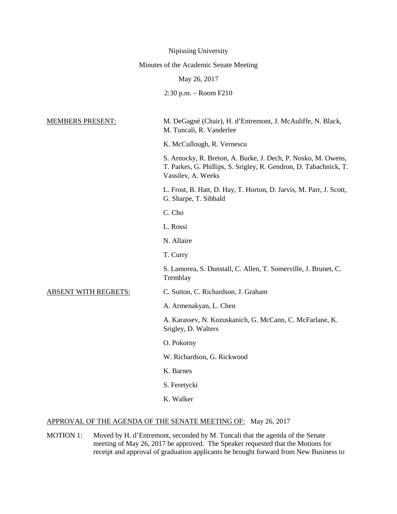|                                        | Nipissing University                                                                                                                                     |
|----------------------------------------|----------------------------------------------------------------------------------------------------------------------------------------------------------|
| Minutes of the Academic Senate Meeting |                                                                                                                                                          |
|                                        | May 26, 2017                                                                                                                                             |
|                                        | $2:30$ p.m. $-$ Room F210                                                                                                                                |
|                                        |                                                                                                                                                          |
| <b>MEMBERS PRESENT:</b>                | M. DeGagné (Chair), H. d'Entremont, J. McAuliffe, N. Black,<br>M. Tuncali, R. Vanderlee                                                                  |
|                                        | K. McCullough, R. Vernescu                                                                                                                               |
|                                        | S. Arnocky, R. Breton, A. Burke, J. Dech, P. Nosko, M. Owens,<br>T. Parkes, G. Phillips, S. Srigley, R. Gendron, D. Tabachnick, T.<br>Vassilev, A. Weeks |
|                                        | L. Frost, B. Hatt, D. Hay, T. Horton, D. Jarvis, M. Parr, J. Scott,<br>G. Sharpe, T. Sibbald                                                             |
|                                        | C. Cho                                                                                                                                                   |
|                                        | L. Rossi                                                                                                                                                 |
|                                        | N. Allaire                                                                                                                                               |
|                                        | T. Curry                                                                                                                                                 |
|                                        | S. Lamorea, S. Dunstall, C. Allen, T. Somerville, J. Brunet, C.<br>Tremblay                                                                              |
| <b>ABSENT WITH REGRETS:</b>            | C. Sutton, C. Richardson, J. Graham                                                                                                                      |
|                                        | A. Armenakyan, L. Chen                                                                                                                                   |
|                                        | A. Karassev, N. Kozuskanich, G. McCann, C. McFarlane, K.<br>Srigley, D. Walters                                                                          |
|                                        | O. Pokorny                                                                                                                                               |
|                                        | W. Richardson, G. Rickwood                                                                                                                               |
|                                        | K. Barnes                                                                                                                                                |
|                                        | S. Feretycki                                                                                                                                             |
|                                        | K. Walker                                                                                                                                                |
|                                        |                                                                                                                                                          |

# APPROVAL OF THE AGENDA OF THE SENATE MEETING OF: May 26, 2017

MOTION 1: Moved by H. d'Entremont, seconded by M. Tuncali that the agenda of the Senate meeting of May 26, 2017 be approved. The Speaker requested that the Motions for receipt and approval of graduation applicants be brought forward from New Business to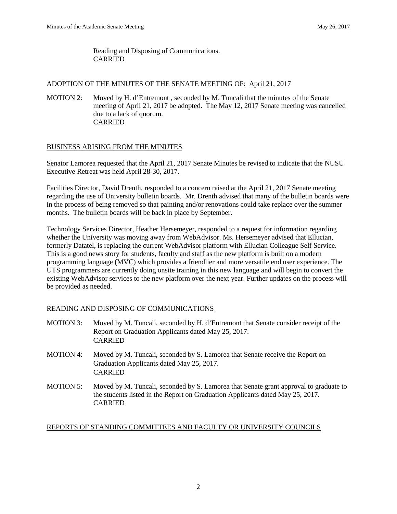Reading and Disposing of Communications. CARRIED

# ADOPTION OF THE MINUTES OF THE SENATE MEETING OF: April 21, 2017

MOTION 2: Moved by H. d'Entremont , seconded by M. Tuncali that the minutes of the Senate meeting of April 21, 2017 be adopted. The May 12, 2017 Senate meeting was cancelled due to a lack of quorum. CARRIED

# BUSINESS ARISING FROM THE MINUTES

Senator Lamorea requested that the April 21, 2017 Senate Minutes be revised to indicate that the NUSU Executive Retreat was held April 28-30, 2017.

Facilities Director, David Drenth, responded to a concern raised at the April 21, 2017 Senate meeting regarding the use of University bulletin boards. Mr. Drenth advised that many of the bulletin boards were in the process of being removed so that painting and/or renovations could take replace over the summer months. The bulletin boards will be back in place by September.

Technology Services Director, Heather Hersemeyer, responded to a request for information regarding whether the University was moving away from WebAdvisor. Ms. Hersemeyer advised that Ellucian, formerly Datatel, is replacing the current WebAdvisor platform with Ellucian Colleague Self Service. This is a good news story for students, faculty and staff as the new platform is built on a modern programming language (MVC) which provides a friendlier and more versatile end user experience. The UTS programmers are currently doing onsite training in this new language and will begin to convert the existing WebAdvisor services to the new platform over the next year. Further updates on the process will be provided as needed.

# READING AND DISPOSING OF COMMUNICATIONS

CARRIED

| <b>MOTION 3:</b> | Moved by M. Tuncali, seconded by H. d'Entremont that Senate consider receipt of the<br>Report on Graduation Applicants dated May 25, 2017.<br><b>CARRIED</b>            |
|------------------|-------------------------------------------------------------------------------------------------------------------------------------------------------------------------|
| MOTION 4:        | Moved by M. Tuncali, seconded by S. Lamorea that Senate receive the Report on<br>Graduation Applicants dated May 25, 2017.<br><b>CARRIED</b>                            |
| <b>MOTION 5:</b> | Moved by M. Tuncali, seconded by S. Lamorea that Senate grant approval to graduate to<br>the students listed in the Report on Graduation Applicants dated May 25, 2017. |

# REPORTS OF STANDING COMMITTEES AND FACULTY OR UNIVERSITY COUNCILS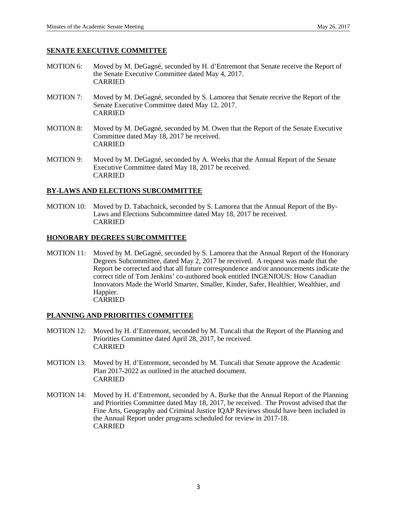# **SENATE EXECUTIVE COMMITTEE**

- MOTION 6: Moved by M. DeGagné, seconded by H. d'Entremont that Senate receive the Report of the Senate Executive Committee dated May 4, 2017. CARRIED
- MOTION 7: Moved by M. DeGagné, seconded by S. Lamorea that Senate receive the Report of the Senate Executive Committee dated May 12, 2017. CARRIED
- MOTION 8: Moved by M. DeGagné, seconded by M. Owen that the Report of the Senate Executive Committee dated May 18, 2017 be received. CARRIED
- MOTION 9: Moved by M. DeGagné, seconded by A. Weeks that the Annual Report of the Senate Executive Committee dated May 18, 2017 be received. CARRIED

# **BY-LAWS AND ELECTIONS SUBCOMMITTEE**

MOTION 10: Moved by D. Tabachnick, seconded by S. Lamorea that the Annual Report of the By-Laws and Elections Subcommittee dated May 18, 2017 be received. CARRIED

# **HONORARY DEGREES SUBCOMMITTEE**

MOTION 11: Moved by M. DeGagné, seconded by S. Lamorea that the Annual Report of the Honorary Degrees Subcommittee, dated May 2, 2017 be received. A request was made that the Report be corrected and that all future correspondence and/or announcements indicate the correct title of Tom Jenkins' co-authored book entitled INGENIOUS: How Canadian Innovators Made the World Smarter, Smaller, Kinder, Safer, Healthier, Wealthier, and Happier. CARRIED

# **PLANNING AND PRIORITIES COMMITTEE**

- MOTION 12: Moved by H. d'Entremont, seconded by M. Tuncali that the Report of the Planning and Priorities Committee dated April 28, 2017, be received. CARRIED
- MOTION 13: Moved by H. d'Entremont, seconded by M. Tuncali that Senate approve the Academic Plan 2017-2022 as outlined in the attached document. CARRIED
- MOTION 14: Moved by H. d'Entremont, seconded by A. Burke that the Annual Report of the Planning and Priorities Committee dated May 18, 2017, be received. The Provost advised that the Fine Arts, Geography and Criminal Justice IQAP Reviews should have been included in the Annual Report under programs scheduled for review in 2017-18. CARRIED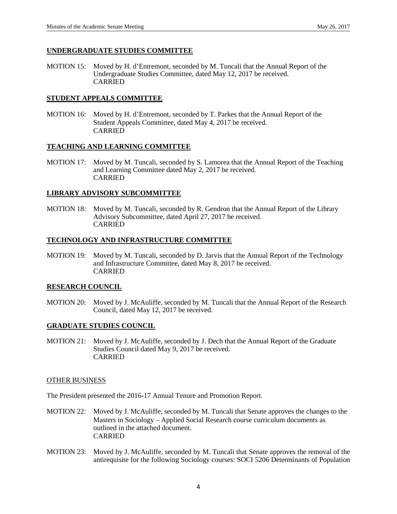# **UNDERGRADUATE STUDIES COMMITTEE**

MOTION 15: Moved by H. d'Entremont, seconded by M. Tuncali that the Annual Report of the Undergraduate Studies Committee, dated May 12, 2017 be received. CARRIED

# **STUDENT APPEALS COMMITTEE**

MOTION 16: Moved by H. d'Entremont, seconded by T. Parkes that the Annual Report of the Student Appeals Committee, dated May 4, 2017 be received. CARRIED

#### **TEACHING AND LEARNING COMMITTEE**

MOTION 17: Moved by M. Tuncali, seconded by S. Lamorea that the Annual Report of the Teaching and Learning Committee dated May 2, 2017 be received. CARRIED

#### **LIBRARY ADVISORY SUBCOMMITTEE**

MOTION 18: Moved by M. Tuncali, seconded by R. Gendron that the Annual Report of the Library Advisory Subcommittee, dated April 27, 2017 be received. CARRIED

#### **TECHNOLOGY AND INFRASTRUCTURE COMMITTEE**

MOTION 19: Moved by M. Tuncali, seconded by D. Jarvis that the Annual Report of the Technology and Infrastructure Committee, dated May 8, 2017 be received. CARRIED

#### **RESEARCH COUNCIL**

MOTION 20: Moved by J. McAuliffe, seconded by M. Tuncali that the Annual Report of the Research Council, dated May 12, 2017 be received.

#### **GRADUATE STUDIES COUNCIL**

MOTION 21: Moved by J. McAuliffe, seconded by J. Dech that the Annual Report of the Graduate Studies Council dated May 9, 2017 be received. CARRIED

#### OTHER BUSINESS

The President presented the 2016-17 Annual Tenure and Promotion Report.

- MOTION 22: Moved by J. McAuliffe, seconded by M. Tuncali that Senate approves the changes to the Masters in Sociology – Applied Social Research course curriculum documents as outlined in the attached document. CARRIED
- MOTION 23: Moved by J. McAuliffe, seconded by M. Tuncali that Senate approves the removal of the antirequisite for the following Sociology courses: SOCI 5206 Determinants of Population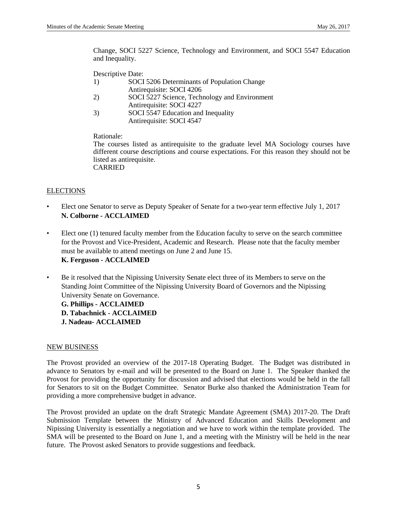Change, SOCI 5227 Science, Technology and Environment, and SOCI 5547 Education and Inequality.

Descriptive Date:

- 1) SOCI 5206 Determinants of Population Change Antirequisite: SOCI 4206
- 2) SOCI 5227 Science, Technology and Environment Antirequisite: SOCI 4227
- 3) SOCI 5547 Education and Inequality Antirequisite: SOCI 4547

Rationale:

The courses listed as antirequisite to the graduate level MA Sociology courses have different course descriptions and course expectations. For this reason they should not be listed as antirequisite. CARRIED

# **ELECTIONS**

- Elect one Senator to serve as Deputy Speaker of Senate for a two-year term effective July 1, 2017 **N. Colborne - ACCLAIMED**
- Elect one (1) tenured faculty member from the Education faculty to serve on the search committee for the Provost and Vice-President, Academic and Research. Please note that the faculty member must be available to attend meetings on June 2 and June 15. **K. Ferguson - ACCLAIMED**
- Be it resolved that the Nipissing University Senate elect three of its Members to serve on the Standing Joint Committee of the Nipissing University Board of Governors and the Nipissing University Senate on Governance.

**G. Phillips - ACCLAIMED D. Tabachnick - ACCLAIMED J. Nadeau- ACCLAIMED**

# NEW BUSINESS

The Provost provided an overview of the 2017-18 Operating Budget. The Budget was distributed in advance to Senators by e-mail and will be presented to the Board on June 1. The Speaker thanked the Provost for providing the opportunity for discussion and advised that elections would be held in the fall for Senators to sit on the Budget Committee. Senator Burke also thanked the Administration Team for providing a more comprehensive budget in advance.

The Provost provided an update on the draft Strategic Mandate Agreement (SMA) 2017-20. The Draft Submission Template between the Ministry of Advanced Education and Skills Development and Nipissing University is essentially a negotiation and we have to work within the template provided. The SMA will be presented to the Board on June 1, and a meeting with the Ministry will be held in the near future. The Provost asked Senators to provide suggestions and feedback.